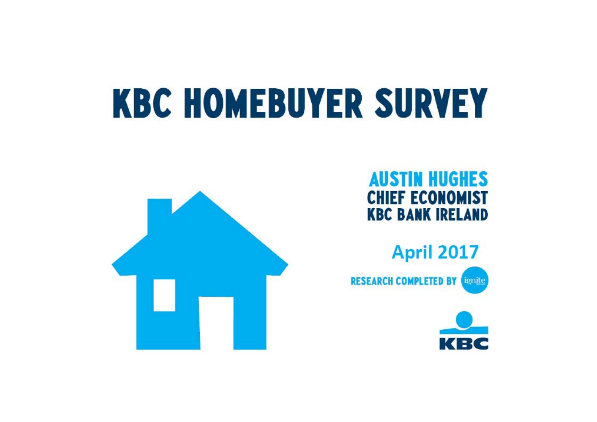# **KBC HOMEBUYER SURVEY**







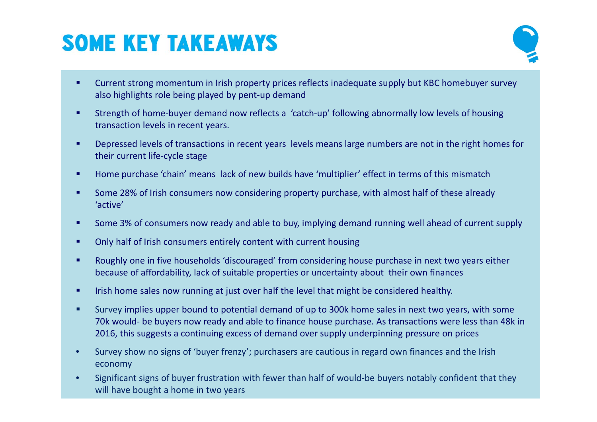## **SOME KEY TAKEAWAYS**



- $\bullet$  Current strong momentum in Irish property prices reflects inadequate supply but KBC homebuyer survey also highlights role being played by pent‐up demand
- ٠ Strength of home‐buyer demand now reflects <sup>a</sup> 'catch‐up' following abnormally low levels of housing transaction levels in recent years.
- ٠ Depressed levels of transactions in recent years levels means large numbers are not in the right homes for their current life‐cycle stage
- ٠ Home purchase 'chain' means lack of new builds have 'multiplier' effect in terms of this mismatch
- ٠ **Some 28% of Irish consumers now considering property purchase, with almost half of these already** 'active'
- ٠ ■ Some 3% of consumers now ready and able to buy, implying demand running well ahead of current supply
- ٠ Only half of Irish consumers entirely content with current housing
- ٠ Roughly one in five households 'discouraged' from considering house purchase in next two years either because of affordability, lack of suitable properties or uncertainty about their own finances
- ٠ **IFICH 19 In 19 In 19 In 19 In 19 In 19 In 19 In 19 In 19 In 19 In 19 In 19 In 19 In 19 In 19 In 19 In 19 In 19** In 1
- ٠ Survey implies upper bound to potential demand of up to 300k home sales in next two years, with some 70k would‐ be buyers now ready and able to finance house purchase. As transactions were less than 48k in 2016, this suggests <sup>a</sup> continuing excess of demand over supply underpinning pressure on prices
- • Survey show no signs of 'buyer frenzy'; purchasers are cautious in regard own finances and the Irish economy
- • Significant signs of buyer frustration with fewer than half of would‐be buyers notably confident that they will have bought <sup>a</sup> home in two years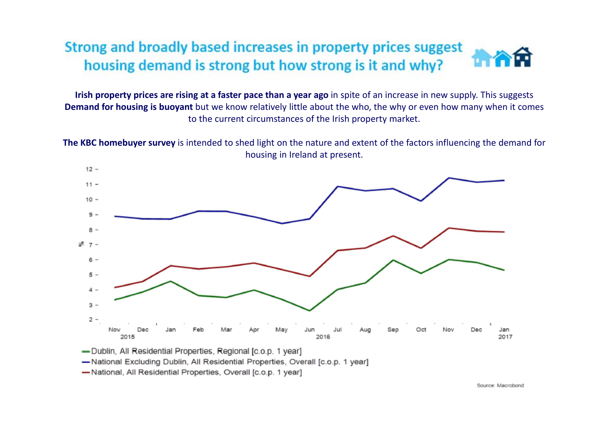#### Strong and broadly based increases in property prices suggest housing demand is strong but how strong is it and why?

**Irish property prices are rising at <sup>a</sup> faster pace than <sup>a</sup> year ago** in spite of an increase in new supply. This suggests **Demand for housing is buoyant** but we know relatively little about the who, the why or even how many when it comes to the current circumstances of the Irish property market.

**The KBC homebuyer survey** is intended to shed light on the nature and extent of the factors influencing the demand for housing in Ireland at present.



-National Excluding Dublin, All Residential Properties, Overall [c.o.p. 1 year]

-National, All Residential Properties, Overall [c.o.p. 1 year]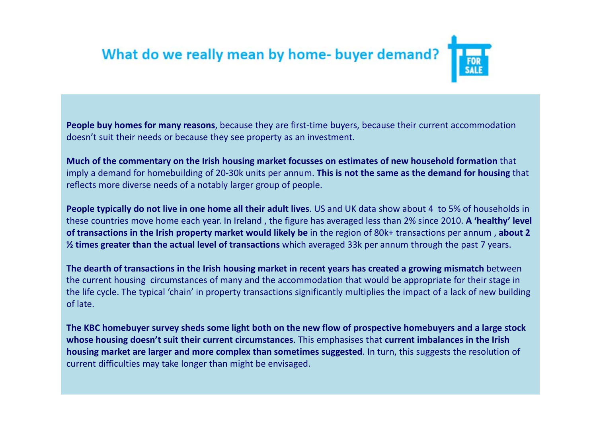## What do we really mean by home-buyer demand?

**People buy homes for many reasons**, because they are first‐time buyers, because their current accommodation doesn't suit their needs or because they see property as an investment.

**Much of the commentary on the Irish housing market focusses on estimates of new household formation** that imply <sup>a</sup> demand for homebuilding of 20‐30k units per annum. **This is not the same as the demand for housing** that reflects more diverse needs of <sup>a</sup> notably larger group of people.

**People typically do not live in one home all their adult lives**. US and UK data show about 4 to 5% of households in these countries move home each year. In Ireland , the figure has averaged less than 2% since 2010. **A 'healthy' level of transactions in the Irish property market would likely be** in the region of 80k+ transactions per annum , **about 2 ½ times greater than the actual level of transactions** which averaged 33k per annum through the past 7 years.

The dearth of transactions in the Irish housing market in recent years has created a growing mismatch between the current housing circumstances of many and the accommodation that would be appropriate for their stage in the life cycle. The typical 'chain' in property transactions significantly multiplies the impact of <sup>a</sup> lack of new building of late.

The KBC homebuyer survey sheds some light both on the new flow of prospective homebuyers and a large stock **whose housing doesn't suit their current circumstances**. This emphasises that **current imbalances in the Irish housing market are larger and more complex than sometimes suggested**. In turn, this suggests the resolution of current difficulties may take longer than might be envisaged.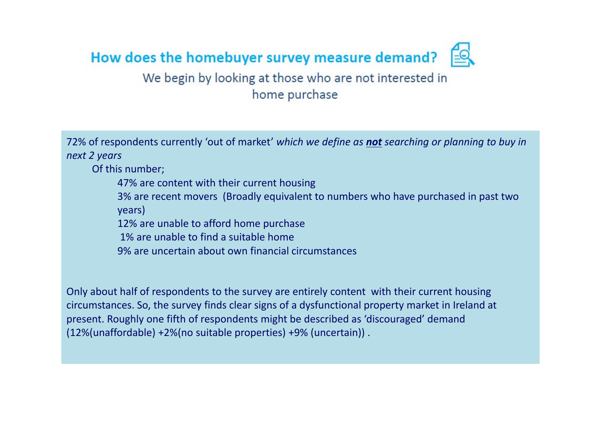

#### We begin by looking at those who are not interested in home purchase

72% of respondents currently 'out of market' *which we define as not searching or planning to buy in next 2 years*

Of this number;

47% are content with their current housing

3% are recent movers (Broadly equivalent to numbers who have purchased in past two years)

12% are unable to afford home purchase

1% are unable to find <sup>a</sup> suitable home

9% are uncertain about own financial circumstances

Only about half of respondents to the survey are entirely content with their current housing circumstances. So, the survey finds clear signs of <sup>a</sup> dysfunctional property market in Ireland at present. Roughly one fifth of respondents might be described as 'discouraged' demand (12%(unaffordable) +2%(no suitable properties) +9% (uncertain)) .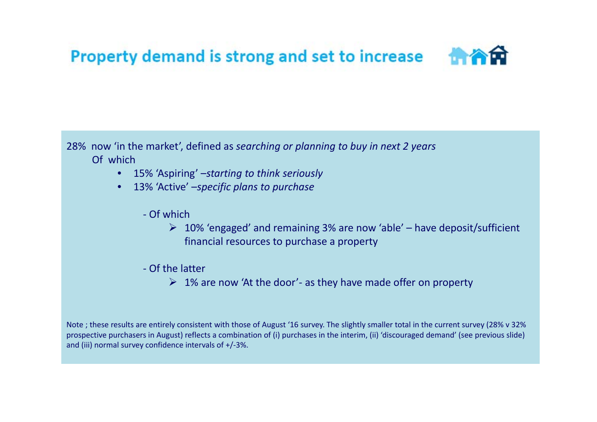## Property demand is strong and set to increase

28% now 'in the market', defined as *searching or planning to buy in next 2 years* Of which

- •15% 'Aspiring' –*starting to think seriously*
- • 13% 'Active' –*specific plans to purchase*
	- ‐ Of which
		- 10% 'engaged' and remaining 3% are now 'able' have deposit/sufficient financial resources to purchase <sup>a</sup> property
	- ‐ Of the latter
		- 1% are now 'At the door'‐ as they have made offer on property

Note ; these results are entirely consistent with those of August '16 survey. The slightly smaller total in the current survey (28% <sup>v</sup> 32% prospective purchasers in August) reflects <sup>a</sup> combination of (i) purchases in the interim, (ii) 'discouraged demand' (see previous slide) and (iii) normal survey confidence intervals of +/‐3%.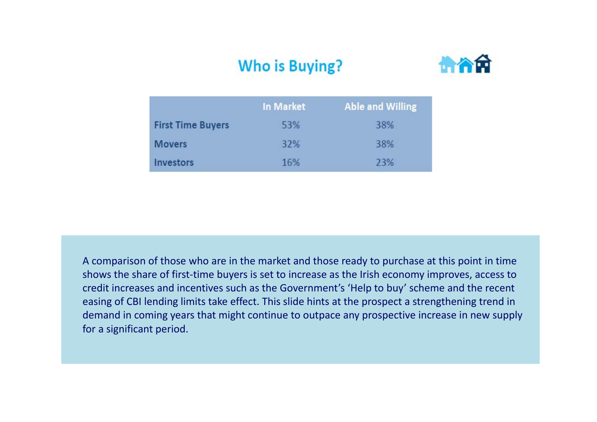#### **Who is Buying?**



|                          | <b>In Market</b> | <b>Able and Willing</b> |
|--------------------------|------------------|-------------------------|
| <b>First Time Buyers</b> | 53%              | 38%                     |
| <b>Movers</b>            | 32%              | 38%                     |
| <b>Investors</b>         | 16%              | 23%                     |

A comparison of those who are in the market and those ready to purchase at this point in time shows the share of first‐time buyers is set to increase as the Irish economy improves, access to credit increases and incentives such as the Government's 'Help to buy' scheme and the recent easing of CBI lending limits take effect. This slide hints at the prospect <sup>a</sup> strengthening trend in demand in coming years that might continue to outpace any prospective increase in new supply for a significant period.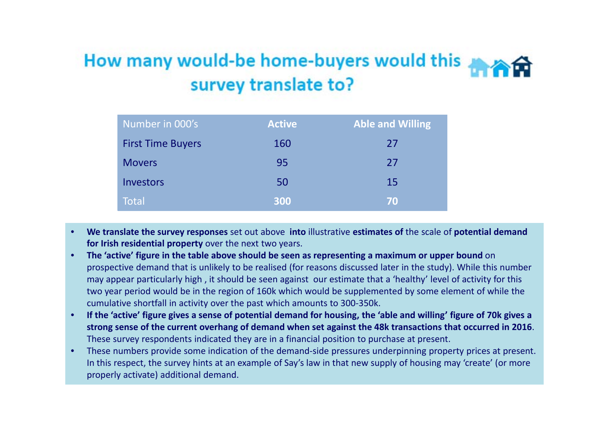### How many would-be home-buyers would this survey translate to?

| Number in 000's          | <b>Active</b> | <b>Able and Willing</b> |
|--------------------------|---------------|-------------------------|
| <b>First Time Buyers</b> | 160           | 27                      |
| <b>Movers</b>            | 95            | 27                      |
| <b>Investors</b>         | 50            | 15                      |
| <b>Total</b>             | 300           | 70                      |

- • **We translate the survey responses** set out above **into** illustrative **estimates of** the scale of **potential demand for Irish residential property** over the next two years.
- • **The 'active' figure in the table above should be seen as representing <sup>a</sup> maximum or upper bound** on prospective demand that is unlikely to be realised (for reasons discussed later in the study). While this number may appear particularly high , it should be seen against our estimate that <sup>a</sup> 'healthy' level of activity for this two year period would be in the region of 160k which would be supplemented by some element of while the cumulative shortfall in activity over the past which amounts to 300‐350k.
- •• If the 'active' figure gives a sense of potential demand for housing, the 'able and willing' figure of 70k gives a strong sense of the current overhang of demand when set against the 48k transactions that occurred in 2016. These survey respondents indicated they are in <sup>a</sup> financial position to purchase at present.
- • These numbers provide some indication of the demand‐side pressures underpinning property prices at present. In this respect, the survey hints at an example of Say's law in that new supply of housing may 'create' (or more properly activate) additional demand.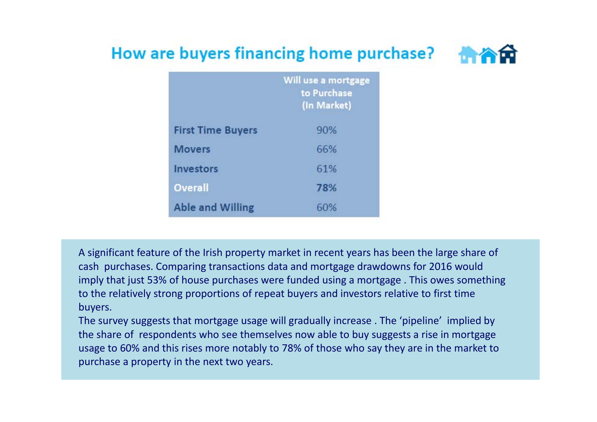#### How are buyers financing home purchase?



|                          | Will use a mortgage<br>to Purchase |
|--------------------------|------------------------------------|
|                          | (In Market)                        |
| <b>First Time Buyers</b> | 90%                                |
| <b>Movers</b>            | 66%                                |
| <b>Investors</b>         | 61%                                |
| Overall                  | 78%                                |
| <b>Able and Willing</b>  | 60%                                |

A significant feature of the Irish property market in recent years has been the large share of cash purchases. Comparing transactions data and mortgage drawdowns for 2016 would imply that just 53% of house purchases were funded using <sup>a</sup> mortgage . This owes something to the relatively strong proportions of repeat buyers and investors relative to first time buyers.

The survey suggests that mortgage usage will gradually increase . The 'pipeline' implied by the share of respondents who see themselves now able to buy suggests <sup>a</sup> rise in mortgage usage to 60% and this rises more notably to 78% of those who say they are in the market to purchase <sup>a</sup> property in the next two years.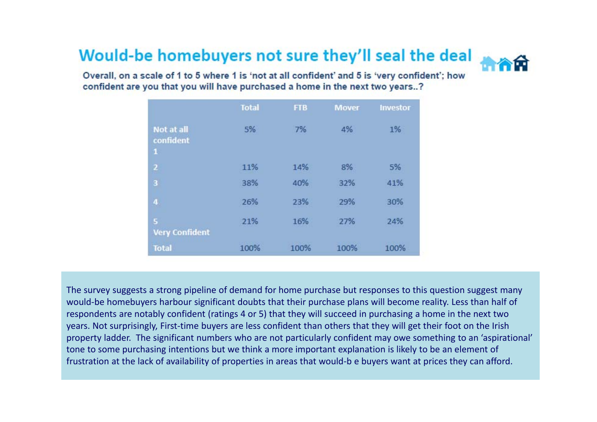#### Would-be homebuyers not sure they'll seal the deal



Overall, on a scale of 1 to 5 where 1 is 'not at all confident' and 5 is 'very confident'; how confident are you that you will have purchased a home in the next two years..?

|                                         | <b>Total</b> | <b>FTB</b> | <b>Mover</b> | Investor |
|-----------------------------------------|--------------|------------|--------------|----------|
| Not at all<br>confident<br>$\mathbf{1}$ | 5%           | 7%         | 4%           | 1%       |
| $\overline{\mathbf{c}}$                 | 11%          | 14%        | 8%           | 5%       |
| 3                                       | 38%          | 40%        | 32%          | 41%      |
| $\overline{\mathbf{4}}$                 | 26%          | 23%        | 29%          | 30%      |
| ${\sf S}$<br><b>Very Confident</b>      | 21%          | 16%        | 27%          | 24%      |
| <b>Total</b>                            | 100%         | 100%       | 100%         | 100%     |

The survey suggests <sup>a</sup> strong pipeline of demand for home purchase but responses to this question suggest many would‐be homebuyers harbour significant doubts that their purchase plans will become reality. Less than half of respondents are notably confident (ratings 4 or 5) that they will succeed in purchasing <sup>a</sup> home in the next two years. Not surprisingly, First‐time buyers are less confident than others that they will get their foot on the Irish property ladder. The significant numbers who are not particularly confident may owe something to an 'aspirational' tone to some purchasing intentions but we think <sup>a</sup> more important explanation is likely to be an element of frustration at the lack of availability of properties in areas that would‐b <sup>e</sup> buyers want at prices they can afford.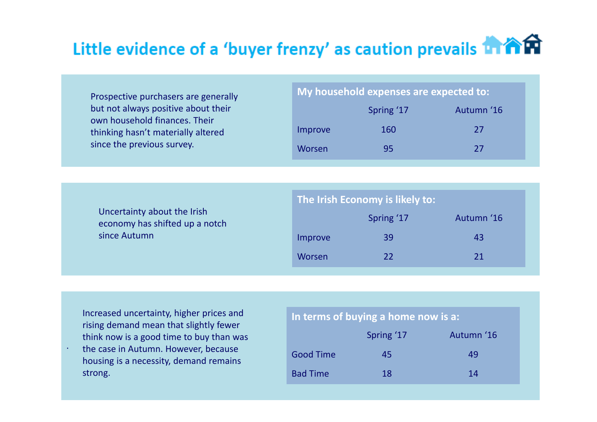## Little evidence of a 'buyer frenzy' as caution prevails **in Am**

| Prospective purchasers are generally |
|--------------------------------------|
| but not always positive about their  |
| own household finances. Their        |
| thinking hasn't materially altered   |
| since the previous survey.           |

| My household expenses are expected to: |            |            |
|----------------------------------------|------------|------------|
|                                        | Spring '17 | Autumn '16 |

| Improve       | 160 | -27 |
|---------------|-----|-----|
| <b>Worsen</b> | 95  | 77  |

| Uncertainty about the Irish    |
|--------------------------------|
| economy has shifted up a notch |
| since Autumn                   |

| The Irish Economy is likely to: |            |            |  |
|---------------------------------|------------|------------|--|
|                                 | Spring '17 | Autumn '16 |  |
| Improve                         | 39         | 43         |  |
| Worsen                          | 22         | 21         |  |

| Increased uncertainty, higher prices and |  |
|------------------------------------------|--|
| rising demand mean that slightly fewer   |  |
| think now is a good time to buy than was |  |

. the case in Autumn. However, because housing is <sup>a</sup> necessity, demand remains strong.

#### **In terms of buying <sup>a</sup> home now is a:**

|                  | Spring '17 | Autumn '16 |
|------------------|------------|------------|
| <b>Good Time</b> | 45         | 49         |
| <b>Bad Time</b>  | 18         | 14         |